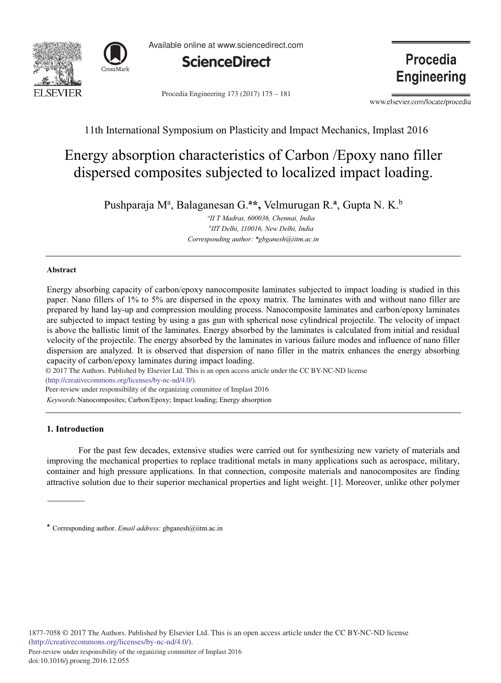



Available online at www.sciencedirect.com



Procedia Engineering 173 (2017) 175 - 181

**Procedia Engineering** 

www.elsevier.com/locate/procedia

# 11th International Symposium on Plasticity and Impact Mechanics, Implast 2016

# Energy absorption characteristics of Carbon / Epoxy nano filler dispersed composites subjected to localized impact loading.

Pushparaja Mª, Balaganesan G.ª\*, Velmurugan R.ª, Gupta N. K.<sup>b</sup>

<sup>a</sup>II T Madras, 600036, Chennai, India <sup>b</sup>IIT Delhi, 110016, New Delhi, India Corresponding author: \*gbganesh@iitm.ac.in

# **Abstract**

Energy absorbing capacity of carbon/epoxy nanocomposite laminates subjected to impact loading is studied in this paper. Nano fillers of 1% to 5% are dispersed in the epoxy matrix. The laminates with and without nano filler are prepared by hand lay-up and compression moulding process. Nanocomposite laminates and carbon/epoxy laminates are subjected to impact testing by using a gas gun with spherical nose cylindrical projectile. The velocity of impact is above the ballistic limit of the laminates. Energy absorbed by the laminates is calculated from initial and residual velocity of the projectile. The energy absorbed by the laminates in various failure modes and influence of nano filler dispersion are analyzed. It is observed that dispersion of nano filler in the matrix enhances the energy absorbing capacity of carbon/epoxy laminates during impact loading.

© 2017 The Authors. Published by Elsevier Ltd. This is an open access article under the CC BY-NC-ND license (http://creativecommons.org/licenses/by-nc-nd/4.0/).

Peer-review under responsibility of the organizing committee of Implast 2016

Keywords: Nanocomposites; Carbon/Epoxy; Impact loading; Energy absorption

# 1. Introduction

For the past few decades, extensive studies were carried out for synthesizing new variety of materials and improving the mechanical properties to replace traditional metals in many applications such as aerospace, military, container and high pressure applications. In that connection, composite materials and nanocomposites are finding attractive solution due to their superior mechanical properties and light weight. [1]. Moreover, unlike other polymer

<sup>\*</sup> Corresponding author. *Email address:* gbganesh@iitm.ac.in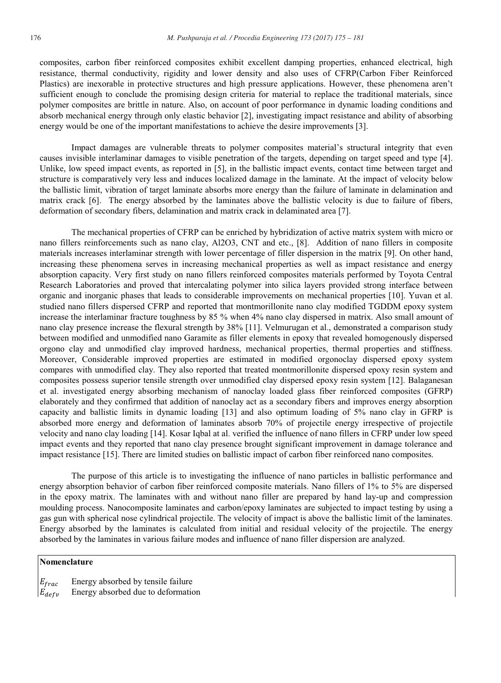composites, carbon fiber reinforced composites exhibit excellent damping properties, enhanced electrical, high resistance, thermal conductivity, rigidity and lower density and also uses of CFRP(Carbon Fiber Reinforced Plastics) are inexorable in protective structures and high pressure applications. However, these phenomena aren't sufficient enough to conclude the promising design criteria for material to replace the traditional materials, since polymer composites are brittle in nature. Also, on account of poor performance in dynamic loading conditions and absorb mechanical energy through only elastic behavior [2], investigating impact resistance and ability of absorbing energy would be one of the important manifestations to achieve the desire improvements [3].

Impact damages are vulnerable threats to polymer composites material's structural integrity that even causes invisible interlaminar damages to visible penetration of the targets, depending on target speed and type [4]. Unlike, low speed impact events, as reported in [5], in the ballistic impact events, contact time between target and structure is comparatively very less and induces localized damage in the laminate. At the impact of velocity below the ballistic limit, vibration of target laminate absorbs more energy than the failure of laminate in delamination and matrix crack [6]. The energy absorbed by the laminates above the ballistic velocity is due to failure of fibers, deformation of secondary fibers, delamination and matrix crack in delaminated area [7].

The mechanical properties of CFRP can be enriched by hybridization of active matrix system with micro or nano fillers reinforcements such as nano clay, Al2O3, CNT and etc., [8]. Addition of nano fillers in composite materials increases interlaminar strength with lower percentage of filler dispersion in the matrix [9]. On other hand, increasing these phenomena serves in increasing mechanical properties as well as impact resistance and energy absorption capacity. Very first study on nano fillers reinforced composites materials performed by Toyota Central Research Laboratories and proved that intercalating polymer into silica layers provided strong interface between organic and inorganic phases that leads to considerable improvements on mechanical properties [10]. Yuvan et al. studied nano fillers dispersed CFRP and reported that montmorillonite nano clay modified TGDDM epoxy system increase the interlaminar fracture toughness by 85 % when 4% nano clay dispersed in matrix. Also small amount of nano clay presence increase the flexural strength by 38% [11]. Velmurugan et al., demonstrated a comparison study between modified and unmodified nano Garamite as filler elements in epoxy that revealed homogenously dispersed orgono clay and unmodified clay improved hardness, mechanical properties, thermal properties and stiffness. Moreover, Considerable improved properties are estimated in modified orgonoclay dispersed epoxy system compares with unmodified clay. They also reported that treated montmorillonite dispersed epoxy resin system and composites possess superior tensile strength over unmodified clay dispersed epoxy resin system [12]. Balaganesan et al. investigated energy absorbing mechanism of nanoclay loaded glass fiber reinforced composites (GFRP) elaborately and they confirmed that addition of nanoclay act as a secondary fibers and improves energy absorption capacity and ballistic limits in dynamic loading [13] and also optimum loading of 5% nano clay in GFRP is absorbed more energy and deformation of laminates absorb 70% of projectile energy irrespective of projectile velocity and nano clay loading [14]. Kosar Iqbal at al. verified the influence of nano fillers in CFRP under low speed impact events and they reported that nano clay presence brought significant improvement in damage tolerance and impact resistance [15]. There are limited studies on ballistic impact of carbon fiber reinforced nano composites.

The purpose of this article is to investigating the influence of nano particles in ballistic performance and energy absorption behavior of carbon fiber reinforced composite materials. Nano fillers of 1% to 5% are dispersed in the epoxy matrix. The laminates with and without nano filler are prepared by hand lay-up and compression moulding process. Nanocomposite laminates and carbon/epoxy laminates are subjected to impact testing by using a gas gun with spherical nose cylindrical projectile. The velocity of impact is above the ballistic limit of the laminates. Energy absorbed by the laminates is calculated from initial and residual velocity of the projectile. The energy absorbed by the laminates in various failure modes and influence of nano filler dispersion are analyzed.

# Nomenclature

 $E_{frac}$ Energy absorbed by tensile failure Energy absorbed due to deformation  $E_{defv}$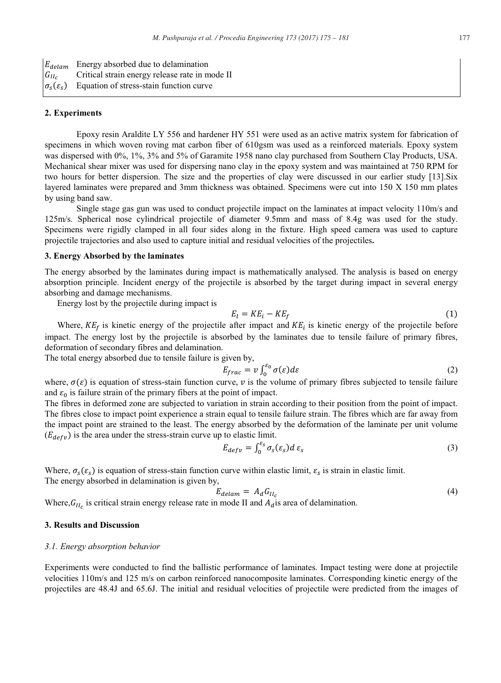Energy absorbed due to delamination  $E_{delam}$  $G_{II_C}$ Critical strain energy release rate in mode II  $\sigma_{\rm s}(\varepsilon_{\rm s})$ Equation of stress-stain function curve

#### 2. Experiments

Epoxy resin Araldite LY 556 and hardener HY 551 were used as an active matrix system for fabrication of specimens in which woven roving mat carbon fiber of 610gsm was used as a reinforced materials. Epoxy system was dispersed with 0%, 1%, 3% and 5% of Garamite 1958 nano clay purchased from Southern Clay Products, USA. Mechanical shear mixer was used for dispersing nano clay in the epoxy system and was maintained at 750 RPM for two hours for better dispersion. The size and the properties of clay were discussed in our earlier study [13]. Six layered laminates were prepared and 3mm thickness was obtained. Specimens were cut into 150 X 150 mm plates by using band saw.

Single stage gas gun was used to conduct projectile impact on the laminates at impact velocity 110m/s and 125m/s. Spherical nose cylindrical projectile of diameter 9.5mm and mass of 8.4g was used for the study. Specimens were rigidly clamped in all four sides along in the fixture. High speed camera was used to capture projectile trajectories and also used to capture initial and residual velocities of the projectiles.

# 3. Energy Absorbed by the laminates

The energy absorbed by the laminates during impact is mathematically analysed. The analysis is based on energy absorption principle. Incident energy of the projectile is absorbed by the target during impact in several energy absorbing and damage mechanisms.

Energy lost by the projectile during impact is

$$
E_l = KE_i - KE_f \tag{1}
$$

Where,  $KE_f$  is kinetic energy of the projectile after impact and  $KE_i$  is kinetic energy of the projectile before impact. The energy lost by the projectile is absorbed by the laminates due to tensile failure of primary fibres, deformation of secondary fibres and delamination.

The total energy absorbed due to tensile failure is given by,

$$
E_{frac} = v \int_0^{\varepsilon_0} \sigma(\varepsilon) d\varepsilon \tag{2}
$$

where,  $\sigma(\varepsilon)$  is equation of stress-stain function curve, v is the volume of primary fibres subjected to tensile failure and  $\varepsilon_0$  is failure strain of the primary fibers at the point of impact.

The fibres in deformed zone are subjected to variation in strain according to their position from the point of impact. The fibres close to impact point experience a strain equal to tensile failure strain. The fibres which are far away from the impact point are strained to the least. The energy absorbed by the deformation of the laminate per unit volume  $(E_{defv})$  is the area under the stress-strain curve up to elastic limit.

$$
E_{defv} = \int_0^{z_S} \sigma_s(\varepsilon_s) d\varepsilon_s \tag{3}
$$

Where,  $\sigma_s(\varepsilon_s)$  is equation of stress-stain function curve within elastic limit,  $\varepsilon_s$  is strain in elastic limit. The energy absorbed in delamination is given by,

$$
E_{\text{delam}} = A_d G_{II_c} \tag{4}
$$

Where,  $G_{II_c}$  is critical strain energy release rate in mode II and  $A_d$  is area of delamination.

### **3. Results and Discussion**

#### 3.1. Energy absorption behavior

Experiments were conducted to find the ballistic performance of laminates. Impact testing were done at projectile velocities 110m/s and 125 m/s on carbon reinforced nanocomposite laminates. Corresponding kinetic energy of the projectiles are 48.4J and 65.6J. The initial and residual velocities of projectile were predicted from the images of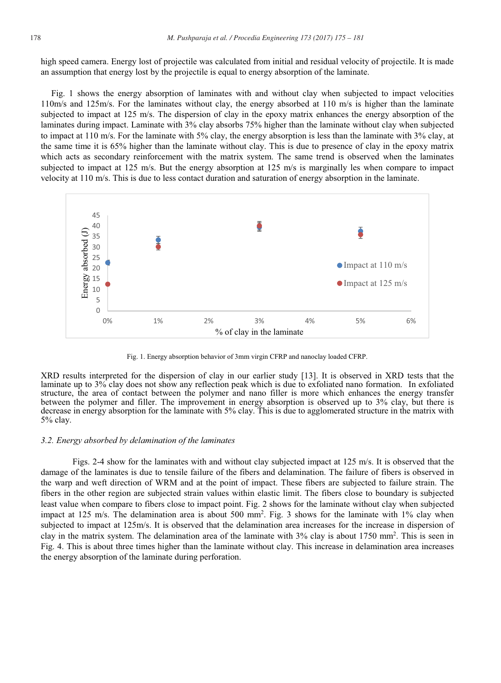high speed camera. Energy lost of projectile was calculated from initial and residual velocity of projectile. It is made an assumption that energy lost by the projectile is equal to energy absorption of the laminate.

Fig. 1 shows the energy absorption of laminates with and without clay when subjected to impact velocities 110m/s and 125m/s. For the laminates without clay, the energy absorbed at 110 m/s is higher than the laminate subjected to impact at 125 m/s. The dispersion of clay in the epoxy matrix enhances the energy absorption of the laminates during impact. Laminate with 3% clay absorbs 75% higher than the laminate without clay when subjected to impact at 110 m/s. For the laminate with 5% clay, the energy absorption is less than the laminate with 3% clay, at the same time it is 65% higher than the laminate without clay. This is due to presence of clay in the epoxy matrix which acts as secondary reinforcement with the matrix system. The same trend is observed when the laminates subjected to impact at 125 m/s. But the energy absorption at 125 m/s is marginally les when compare to impact velocity at  $110 \text{ m/s}$ . This is due to less contact duration and saturation of energy absorption in the laminate.



Fig. 1. Energy absorption behavior of 3mm virgin CFRP and nanoclay loaded CFRP.

XRD results interpreted for the dispersion of clay in our earlier study [13]. It is observed in XRD tests that the laminate up to 3% clay does not show any reflection peak which is due to exfoliated nano formation. In exfoliated structure, the area of contact between the polymer and nano filler is more which enhances the energy transfer between the polymer and filler. The improvement in energy absorption is observed up to 3% clay, but there is decrease in energy absorption for the laminate with 5% clay. This is due to agglomerated structure in the matrix with 5% clay.

#### 3.2. Energy absorbed by delamination of the laminates

Figs. 2-4 show for the laminates with and without clay subjected impact at 125 m/s. It is observed that the damage of the laminates is due to tensile failure of the fibers and delamination. The failure of fibers is observed in the warp and weft direction of WRM and at the point of impact. These fibers are subjected to failure strain. The fibers in the other region are subjected strain values within elastic limit. The fibers close to boundary is subjected least value when compare to fibers close to impact point. Fig. 2 shows for the laminate without clay when subjected impact at 125 m/s. The delamination area is about 500 mm<sup>2</sup>. Fig. 3 shows for the laminate with 1% clay when subjected to impact at 125m/s. It is observed that the delamination area increases for the increase in dispersion of clay in the matrix system. The delamination area of the laminate with 3% clay is about 1750 mm<sup>2</sup>. This is seen in Fig. 4. This is about three times higher than the laminate without clay. This increase in delamination area increases the energy absorption of the laminate during perforation.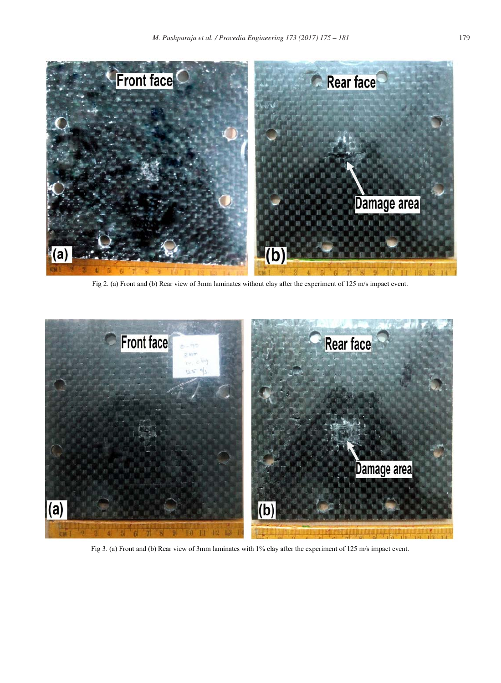

Fig 2. (a) Front and (b) Rear view of 3mm laminates without clay after the experiment of  $125 \text{ m/s}$  impact event.



Fig 3. (a) Front and (b) Rear view of 3mm laminates with  $1\%$  clay after the experiment of  $125 \text{ m/s}$  impact event.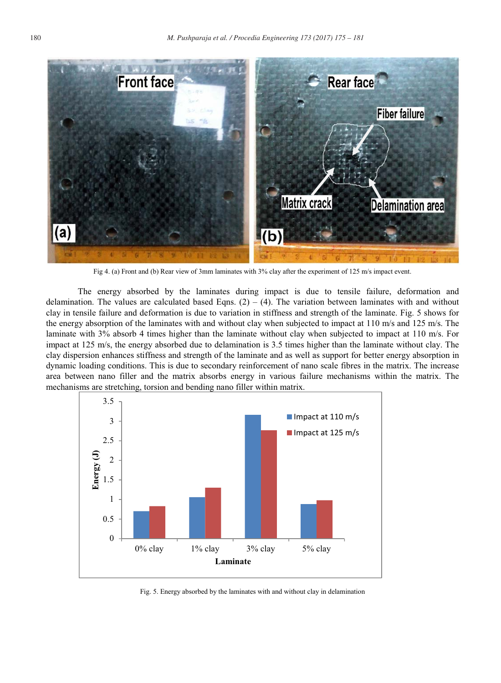

Fig 4. (a) Front and (b) Rear view of 3mm laminates with 3% clay after the experiment of 125 m/s impact event.

The energy absorbed by the laminates during impact is due to tensile failure, deformation and delamination. The values are calculated based Eqns.  $(2) - (4)$ . The variation between laminates with and without clay in tensile failure and deformation is due to variation in stiffness and strength of the laminate. Fig. 5 shows for the energy absorption of the laminates with and without clay when subjected to impact at 110 m/s and 125 m/s. The laminate with 3% absorb 4 times higher than the laminate without clay when subjected to impact at 110 m/s. For impact at 125 m/s, the energy absorbed due to delamination is 3.5 times higher than the laminate without clay. The clay dispersion enhances stiffness and strength of the laminate and as well as support for better energy absorption in dynamic loading conditions. This is due to secondary reinforcement of nano scale fibres in the matrix. The increase area between nano filler and the matrix absorbs energy in various failure mechanisms within the matrix. The mechanisms are stretching, torsion and bending nano filler within matrix.



Fig. 5. Energy absorbed by the laminates with and without clay in delamination